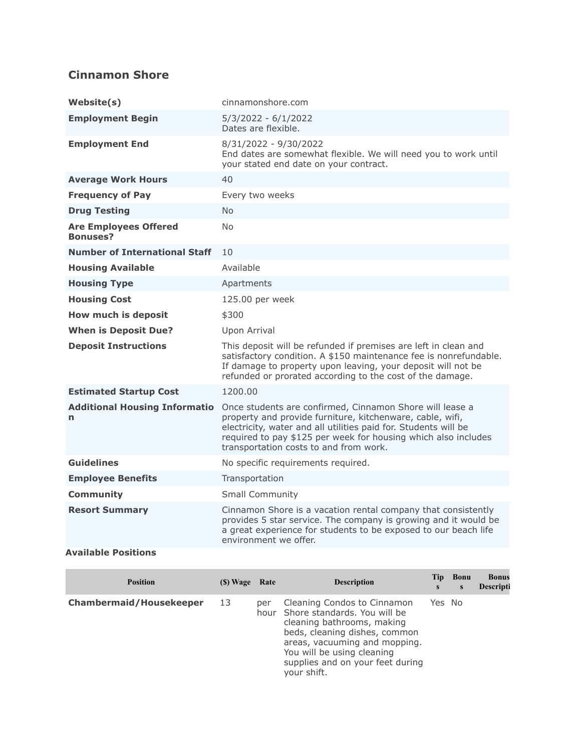## **Cinnamon Shore**

| Website(s)                                      | cinnamonshore.com                                                                                                                                                                                                                                                                                    |
|-------------------------------------------------|------------------------------------------------------------------------------------------------------------------------------------------------------------------------------------------------------------------------------------------------------------------------------------------------------|
| <b>Employment Begin</b>                         | 5/3/2022 - 6/1/2022<br>Dates are flexible.                                                                                                                                                                                                                                                           |
| <b>Employment End</b>                           | 8/31/2022 - 9/30/2022<br>End dates are somewhat flexible. We will need you to work until<br>your stated end date on your contract.                                                                                                                                                                   |
| <b>Average Work Hours</b>                       | 40                                                                                                                                                                                                                                                                                                   |
| <b>Frequency of Pay</b>                         | Every two weeks                                                                                                                                                                                                                                                                                      |
| <b>Drug Testing</b>                             | <b>No</b>                                                                                                                                                                                                                                                                                            |
| <b>Are Employees Offered</b><br><b>Bonuses?</b> | N <sub>0</sub>                                                                                                                                                                                                                                                                                       |
| <b>Number of International Staff</b>            | 10                                                                                                                                                                                                                                                                                                   |
| <b>Housing Available</b>                        | Available                                                                                                                                                                                                                                                                                            |
| <b>Housing Type</b>                             | Apartments                                                                                                                                                                                                                                                                                           |
| <b>Housing Cost</b>                             | 125.00 per week                                                                                                                                                                                                                                                                                      |
| How much is deposit                             | \$300                                                                                                                                                                                                                                                                                                |
| <b>When is Deposit Due?</b>                     | Upon Arrival                                                                                                                                                                                                                                                                                         |
| <b>Deposit Instructions</b>                     | This deposit will be refunded if premises are left in clean and<br>satisfactory condition. A \$150 maintenance fee is nonrefundable.<br>If damage to property upon leaving, your deposit will not be<br>refunded or prorated according to the cost of the damage.                                    |
| <b>Estimated Startup Cost</b>                   | 1200.00                                                                                                                                                                                                                                                                                              |
| <b>Additional Housing Informatio</b><br>n       | Once students are confirmed, Cinnamon Shore will lease a<br>property and provide furniture, kitchenware, cable, wifi,<br>electricity, water and all utilities paid for. Students will be<br>required to pay \$125 per week for housing which also includes<br>transportation costs to and from work. |
| <b>Guidelines</b>                               | No specific requirements required.                                                                                                                                                                                                                                                                   |
| <b>Employee Benefits</b>                        | Transportation                                                                                                                                                                                                                                                                                       |
| <b>Community</b>                                | <b>Small Community</b>                                                                                                                                                                                                                                                                               |
| <b>Resort Summary</b>                           | Cinnamon Shore is a vacation rental company that consistently<br>provides 5 star service. The company is growing and it would be<br>a great experience for students to be exposed to our beach life<br>environment we offer.                                                                         |
| <b>Available Positions</b>                      |                                                                                                                                                                                                                                                                                                      |

| <b>Position</b>                | (\$) Wage | Rate | <b>Description</b>                                                                                                                                                                                                                                | Tip<br>S | Bonu<br>S | <b>Bonus</b><br>Descripti |
|--------------------------------|-----------|------|---------------------------------------------------------------------------------------------------------------------------------------------------------------------------------------------------------------------------------------------------|----------|-----------|---------------------------|
| <b>Chambermaid/Housekeeper</b> | 13        | per  | Cleaning Condos to Cinnamon<br>hour Shore standards. You will be<br>cleaning bathrooms, making<br>beds, cleaning dishes, common<br>areas, vacuuming and mopping.<br>You will be using cleaning<br>supplies and on your feet during<br>your shift. | Yes No   |           |                           |